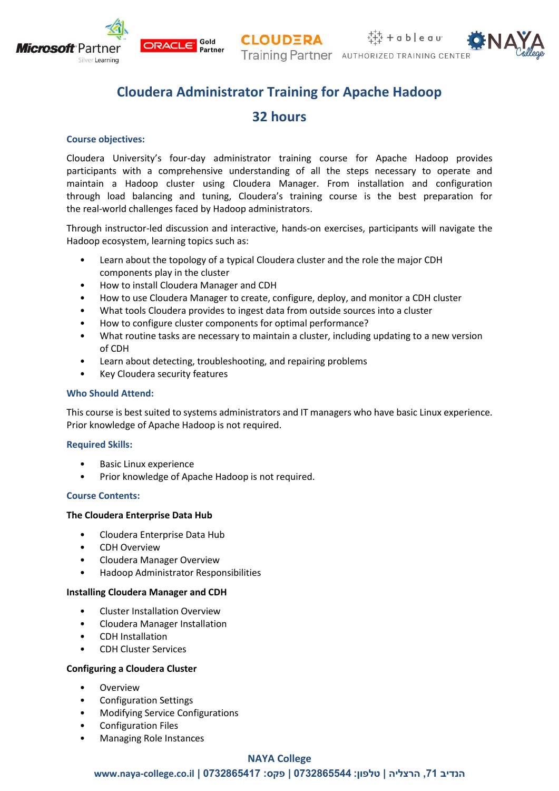



# **Cloudera Administrator Training for Apache Hadoop**

## **32 hours**

## **Course objectives:**

Silver Learning

**Microsoft** Partner

Cloudera University's four-day administrator training course for Apache Hadoop provides participants with a comprehensive understanding of all the steps necessary to operate and maintain a Hadoop cluster using Cloudera Manager. From installation and configuration through load balancing and tuning, Cloudera's training course is the best preparation for the real-world challenges faced by Hadoop administrators.

Through instructor-led discussion and interactive, hands-on exercises, participants will navigate the Hadoop ecosystem, learning topics such as:

- Learn about the topology of a typical Cloudera cluster and the role the major CDH components play in the cluster
- How to install Cloudera Manager and CDH

ORACLE<sup>®</sup>

- How to use Cloudera Manager to create, configure, deploy, and monitor a CDH cluster
- What tools Cloudera provides to ingest data from outside sources into a cluster
- How to configure cluster components for optimal performance?
- What routine tasks are necessary to maintain a cluster, including updating to a new version of CDH
- Learn about detecting, troubleshooting, and repairing problems
- Key Cloudera security features

#### **Who Should Attend:**

This course is best suited to systems administrators and IT managers who have basic Linux experience. Prior knowledge of Apache Hadoop is not required.

#### **Required Skills:**

- Basic Linux experience
- Prior knowledge of Apache Hadoop is not required.

#### **Course Contents:**

#### **The Cloudera Enterprise Data Hub**

- Cloudera Enterprise Data Hub
- CDH Overview
- Cloudera Manager Overview
- Hadoop Administrator Responsibilities

#### **Installing Cloudera Manager and CDH**

- Cluster Installation Overview
- Cloudera Manager Installation
- CDH Installation
- CDH Cluster Services

#### **Configuring a Cloudera Cluster**

- **Overview**
- Configuration Settings
- Modifying Service Configurations
- Configuration Files
- Managing Role Instances

## **NAYA College**

 **www.naya-college.co.il | 0732865417 :פקס | 0732865544 :טלפון | הרצליה ,71 הנדיב**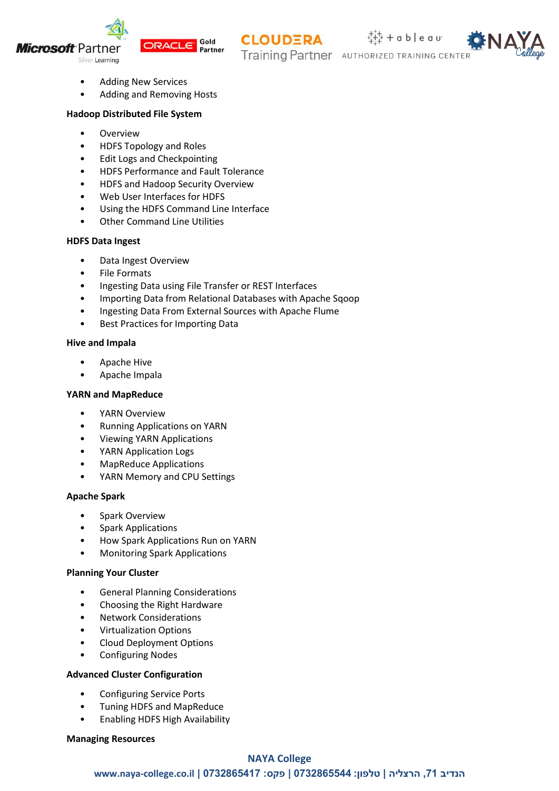



**CLOUDERA** 

 $+\frac{1}{4+4}$  + a b | e a u<sup>.</sup> Training Partner AUTHORIZED TRAINING CENTE



- Adding New Services
- Adding and Removing Hosts

## **Hadoop Distributed File System**

- Overview
- HDFS Topology and Roles
- Edit Logs and Checkpointing
- HDFS Performance and Fault Tolerance
- HDFS and Hadoop Security Overview
- Web User Interfaces for HDFS
- Using the HDFS Command Line Interface
- Other Command Line Utilities

## **HDFS Data Ingest**

- Data Ingest Overview
- File Formats
- Ingesting Data using File Transfer or REST Interfaces
- Importing Data from Relational Databases with Apache Sqoop
- Ingesting Data From External Sources with Apache Flume
- Best Practices for Importing Data

## **Hive and Impala**

- Apache Hive
- Apache Impala

## **YARN and MapReduce**

- YARN Overview
- Running Applications on YARN
- Viewing YARN Applications
- YARN Application Logs
- MapReduce Applications
- YARN Memory and CPU Settings

#### **Apache Spark**

- Spark Overview
- Spark Applications
- How Spark Applications Run on YARN
- Monitoring Spark Applications

#### **Planning Your Cluster**

- General Planning Considerations
- Choosing the Right Hardware
- Network Considerations
- Virtualization Options
- Cloud Deployment Options
- Configuring Nodes

#### **Advanced Cluster Configuration**

- Configuring Service Ports
- Tuning HDFS and MapReduce
- Enabling HDFS High Availability

#### **Managing Resources**

## **NAYA College**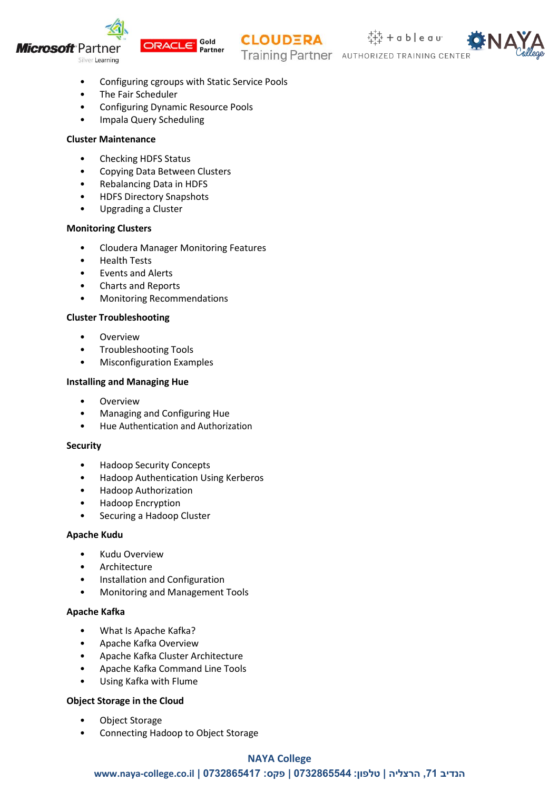







- Configuring cgroups with Static Service Pools
- The Fair Scheduler
- Configuring Dynamic Resource Pools
- Impala Query Scheduling

## **Cluster Maintenance**

- Checking HDFS Status
- Copying Data Between Clusters
- Rebalancing Data in HDFS
- HDFS Directory Snapshots
- Upgrading a Cluster

## **Monitoring Clusters**

- Cloudera Manager Monitoring Features
- Health Tests
- Events and Alerts
- Charts and Reports
- Monitoring Recommendations

## **Cluster Troubleshooting**

- Overview
- Troubleshooting Tools
- Misconfiguration Examples

## **Installing and Managing Hue**

- **Overview**
- Managing and Configuring Hue
- Hue Authentication and Authorization

#### **Security**

- Hadoop Security Concepts
- Hadoop Authentication Using Kerberos
- Hadoop Authorization
- Hadoop Encryption
- Securing a Hadoop Cluster

## **Apache Kudu**

- Kudu Overview
- Architecture
- Installation and Configuration
- Monitoring and Management Tools

## **Apache Kafka**

- What Is Apache Kafka?
- Apache Kafka Overview
- Apache Kafka Cluster Architecture
- Apache Kafka Command Line Tools
- Using Kafka with Flume

## **Object Storage in the Cloud**

- Object Storage
- Connecting Hadoop to Object Storage

## **NAYA College**

 **www.naya-college.co.il | 0732865417 :פקס | 0732865544 :טלפון | הרצליה ,71 הנדיב**